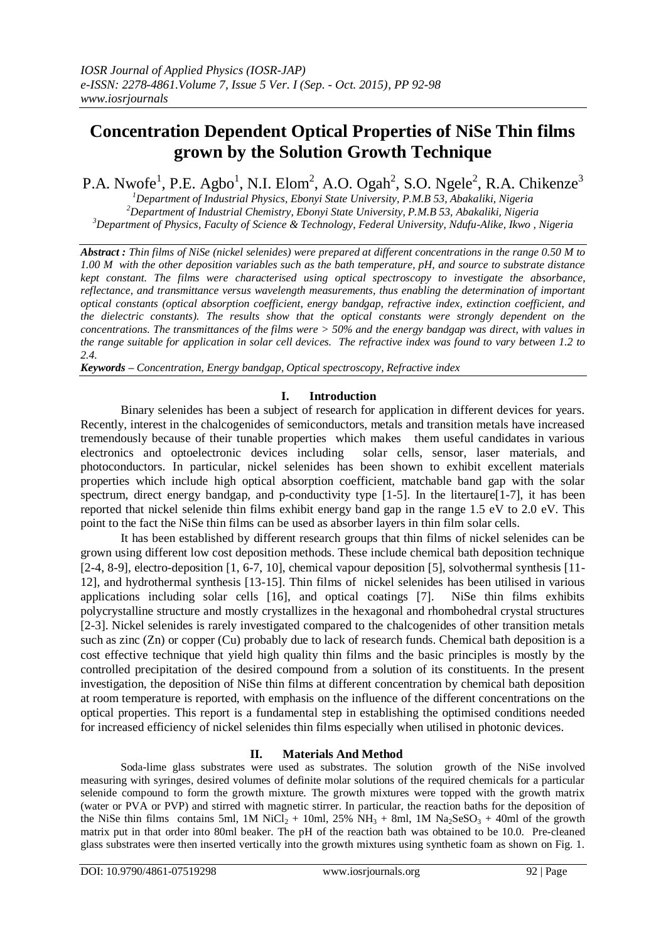# **Concentration Dependent Optical Properties of NiSe Thin films grown by the Solution Growth Technique**

P.A. Nwofe<sup>1</sup>, P.E. Agbo<sup>1</sup>, N.I. Elom<sup>2</sup>, A.O. Ogah<sup>2</sup>, S.O. Ngele<sup>2</sup>, R.A. Chikenze<sup>3</sup>

*<sup>1</sup>Department of Industrial Physics, Ebonyi State University, P.M.B 53, Abakaliki, Nigeria <sup>2</sup>Department of Industrial Chemistry, Ebonyi State University, P.M.B 53, Abakaliki, Nigeria <sup>3</sup>Department of Physics, Faculty of Science & Technology, Federal University, Ndufu-Alike, Ikwo , Nigeria*

*Abstract : Thin films of NiSe (nickel selenides) were prepared at different concentrations in the range 0.50 M to 1.00 M with the other deposition variables such as the bath temperature, pH, and source to substrate distance kept constant. The films were characterised using optical spectroscopy to investigate the absorbance, reflectance, and transmittance versus wavelength measurements, thus enabling the determination of important optical constants (optical absorption coefficient, energy bandgap, refractive index, extinction coefficient, and the dielectric constants). The results show that the optical constants were strongly dependent on the concentrations. The transmittances of the films were > 50% and the energy bandgap was direct, with values in the range suitable for application in solar cell devices. The refractive index was found to vary between 1.2 to 2.4.*

*Keywords – Concentration, Energy bandgap, Optical spectroscopy, Refractive index*

## **I. Introduction**

Binary selenides has been a subject of research for application in different devices for years. Recently, interest in the chalcogenides of semiconductors, metals and transition metals have increased tremendously because of their tunable properties which makes them useful candidates in various electronics and optoelectronic devices including solar cells, sensor, laser materials, and photoconductors. In particular, nickel selenides has been shown to exhibit excellent materials properties which include high optical absorption coefficient, matchable band gap with the solar spectrum, direct energy bandgap, and p-conductivity type [1-5]. In the litertaure[1-7], it has been reported that nickel selenide thin films exhibit energy band gap in the range 1.5 eV to 2.0 eV. This point to the fact the NiSe thin films can be used as absorber layers in thin film solar cells.

It has been established by different research groups that thin films of nickel selenides can be grown using different low cost deposition methods. These include chemical bath deposition technique [2-4, 8-9], electro-deposition [1, 6-7, 10], chemical vapour deposition [5], solvothermal synthesis [11- 12], and hydrothermal synthesis [13-15]. Thin films of nickel selenides has been utilised in various applications including solar cells [16], and optical coatings [7]. NiSe thin films exhibits polycrystalline structure and mostly crystallizes in the hexagonal and rhombohedral crystal structures [2-3]. Nickel selenides is rarely investigated compared to the chalcogenides of other transition metals such as zinc (Zn) or copper (Cu) probably due to lack of research funds. Chemical bath deposition is a cost effective technique that yield high quality thin films and the basic principles is mostly by the controlled precipitation of the desired compound from a solution of its constituents. In the present investigation, the deposition of NiSe thin films at different concentration by chemical bath deposition at room temperature is reported, with emphasis on the influence of the different concentrations on the optical properties. This report is a fundamental step in establishing the optimised conditions needed for increased efficiency of nickel selenides thin films especially when utilised in photonic devices.

## **II. Materials And Method**

Soda-lime glass substrates were used as substrates. The solution growth of the NiSe involved measuring with syringes, desired volumes of definite molar solutions of the required chemicals for a particular selenide compound to form the growth mixture. The growth mixtures were topped with the growth matrix (water or PVA or PVP) and stirred with magnetic stirrer. In particular, the reaction baths for the deposition of the NiSe thin films contains 5ml, 1M NiCl<sub>2</sub> + 10ml, 25% NH<sub>3</sub> + 8ml, 1M Na<sub>2</sub>SeSO<sub>3</sub> + 40ml of the growth matrix put in that order into 80ml beaker. The pH of the reaction bath was obtained to be 10.0. Pre-cleaned glass substrates were then inserted vertically into the growth mixtures using synthetic foam as shown on Fig. 1.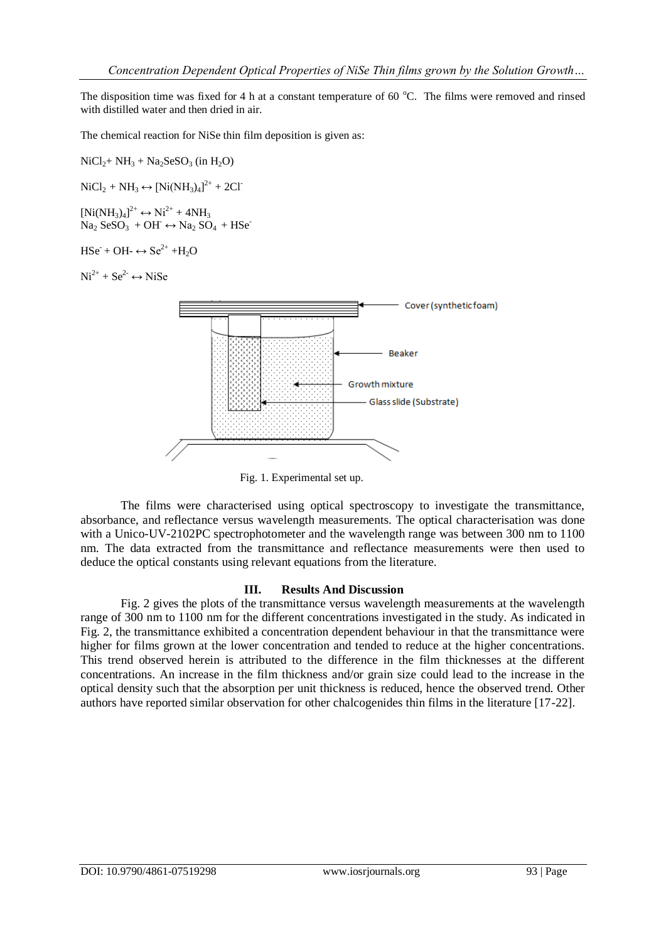The disposition time was fixed for 4 h at a constant temperature of 60  $^{\circ}$ C. The films were removed and rinsed with distilled water and then dried in air.

The chemical reaction for NiSe thin film deposition is given as:

 $NiCl<sub>2</sub>+ NH<sub>3</sub> + Na<sub>2</sub>SeSO<sub>3</sub> (in H<sub>2</sub>O)$ 

 $NiCl<sub>2</sub> + NH<sub>3</sub> \leftrightarrow [Ni(NH<sub>3</sub>)<sub>4</sub>]<sup>2+</sup> + 2Cl<sup>-</sup>$ 

 $[Ni(NH_3)_4]^{2+} \leftrightarrow Ni^{2+} + 4NH_3$  $Na<sub>2</sub> SeSO<sub>3</sub> + OH \leftrightarrow Na<sub>2</sub> SO<sub>4</sub> + HSe<sup>-</sup>$ 

 $HSe + OH- \leftrightarrow Se^{2+} + H_2O$ 

 $Ni^{2+} + Se^{2-} \leftrightarrow NiSe$ 



Fig. 1. Experimental set up.

The films were characterised using optical spectroscopy to investigate the transmittance, absorbance, and reflectance versus wavelength measurements. The optical characterisation was done with a Unico-UV-2102PC spectrophotometer and the wavelength range was between 300 nm to 1100 nm. The data extracted from the transmittance and reflectance measurements were then used to deduce the optical constants using relevant equations from the literature.

## **III. Results And Discussion**

Fig. 2 gives the plots of the transmittance versus wavelength measurements at the wavelength range of 300 nm to 1100 nm for the different concentrations investigated in the study. As indicated in Fig. 2, the transmittance exhibited a concentration dependent behaviour in that the transmittance were higher for films grown at the lower concentration and tended to reduce at the higher concentrations. This trend observed herein is attributed to the difference in the film thicknesses at the different concentrations. An increase in the film thickness and/or grain size could lead to the increase in the optical density such that the absorption per unit thickness is reduced, hence the observed trend. Other authors have reported similar observation for other chalcogenides thin films in the literature [17-22].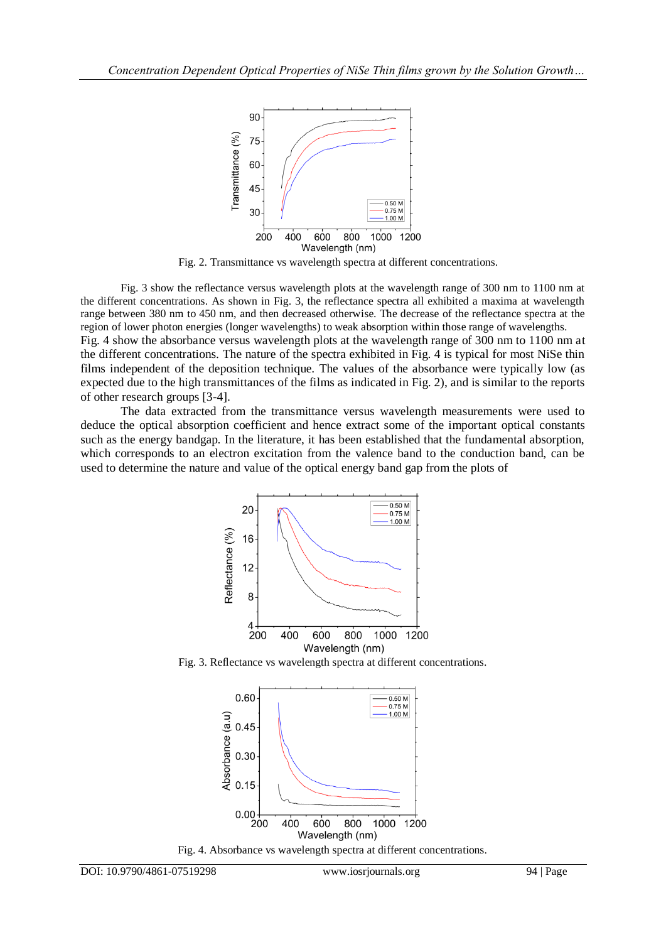

Fig. 2. Transmittance vs wavelength spectra at different concentrations.

Fig. 3 show the reflectance versus wavelength plots at the wavelength range of 300 nm to 1100 nm at the different concentrations. As shown in Fig. 3, the reflectance spectra all exhibited a maxima at wavelength range between 380 nm to 450 nm, and then decreased otherwise. The decrease of the reflectance spectra at the region of lower photon energies (longer wavelengths) to weak absorption within those range of wavelengths. Fig. 4 show the absorbance versus wavelength plots at the wavelength range of 300 nm to 1100 nm at the different concentrations. The nature of the spectra exhibited in Fig. 4 is typical for most NiSe thin films independent of the deposition technique. The values of the absorbance were typically low (as expected due to the high transmittances of the films as indicated in Fig. 2), and is similar to the reports of other research groups [3-4].

The data extracted from the transmittance versus wavelength measurements were used to deduce the optical absorption coefficient and hence extract some of the important optical constants such as the energy bandgap. In the literature, it has been established that the fundamental absorption, which corresponds to an electron excitation from the valence band to the conduction band, can be used to determine the nature and value of the optical energy band gap from the plots of



Fig. 3. Reflectance vs wavelength spectra at different concentrations.



Fig. 4. Absorbance vs wavelength spectra at different concentrations.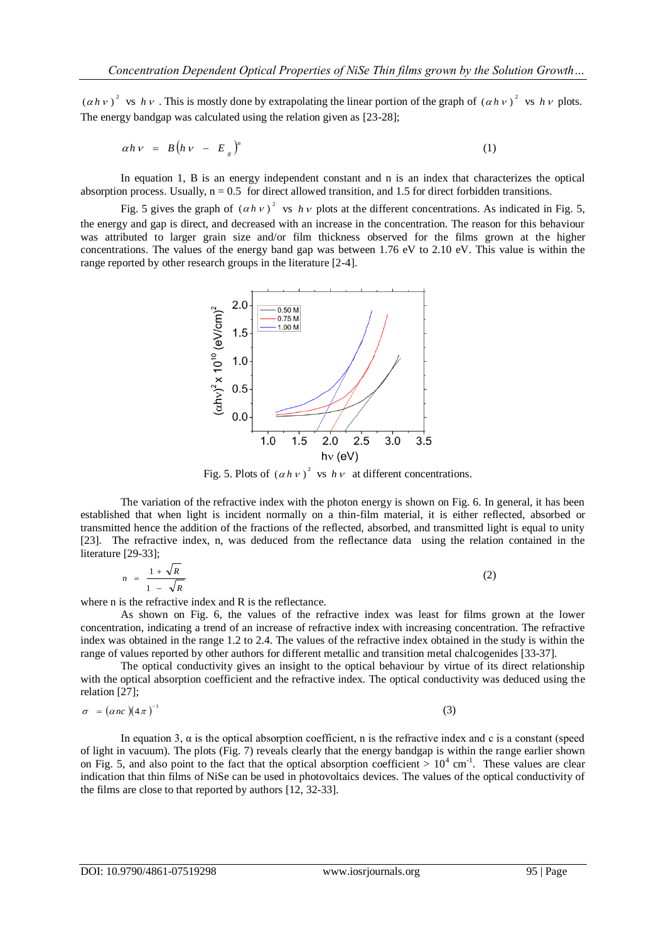$(a h v)^2$  vs  $h v$ . This is mostly done by extrapolating the linear portion of the graph of  $(a h v)^2$  vs  $h v$  plots. The energy bandgap was calculated using the relation given as [23-28];

$$
\alpha h \nu = B(h \nu - E_g)^n \tag{1}
$$

In equation 1, B is an energy independent constant and n is an index that characterizes the optical absorption process. Usually,  $n = 0.5$  for direct allowed transition, and 1.5 for direct forbidden transitions.

Fig. 5 gives the graph of  $(ahv)^2$  vs  $h v$  plots at the different concentrations. As indicated in Fig. 5, the energy and gap is direct, and decreased with an increase in the concentration. The reason for this behaviour was attributed to larger grain size and/or film thickness observed for the films grown at the higher concentrations. The values of the energy band gap was between 1.76 eV to 2.10 eV. This value is within the range reported by other research groups in the literature [2-4].



Fig. 5. Plots of  $( \alpha h v )^2$  vs  $h v$  at different concentrations.

 The variation of the refractive index with the photon energy is shown on Fig. 6. In general, it has been established that when light is incident normally on a thin-film material, it is either reflected, absorbed or transmitted hence the addition of the fractions of the reflected, absorbed, and transmitted light is equal to unity [23]. The refractive index, n, was deduced from the reflectance data using the relation contained in the literature [29-33];

$$
n = \frac{1 + \sqrt{R}}{1 - \sqrt{R}}
$$
 (2)

where n is the refractive index and R is the reflectance.

As shown on Fig. 6, the values of the refractive index was least for films grown at the lower concentration, indicating a trend of an increase of refractive index with increasing concentration. The refractive index was obtained in the range 1.2 to 2.4. The values of the refractive index obtained in the study is within the range of values reported by other authors for different metallic and transition metal chalcogenides [33-37].

 The optical conductivity gives an insight to the optical behaviour by virtue of its direct relationship with the optical absorption coefficient and the refractive index. The optical conductivity was deduced using the relation [27];

$$
\sigma = (\alpha nc)(4\pi)^{-1} \tag{3}
$$

In equation 3,  $\alpha$  is the optical absorption coefficient, n is the refractive index and c is a constant (speed of light in vacuum). The plots (Fig. 7) reveals clearly that the energy bandgap is within the range earlier shown on Fig. 5, and also point to the fact that the optical absorption coefficient  $> 10^4$  cm<sup>-1</sup>. These values are clear indication that thin films of NiSe can be used in photovoltaics devices. The values of the optical conductivity of the films are close to that reported by authors [12, 32-33].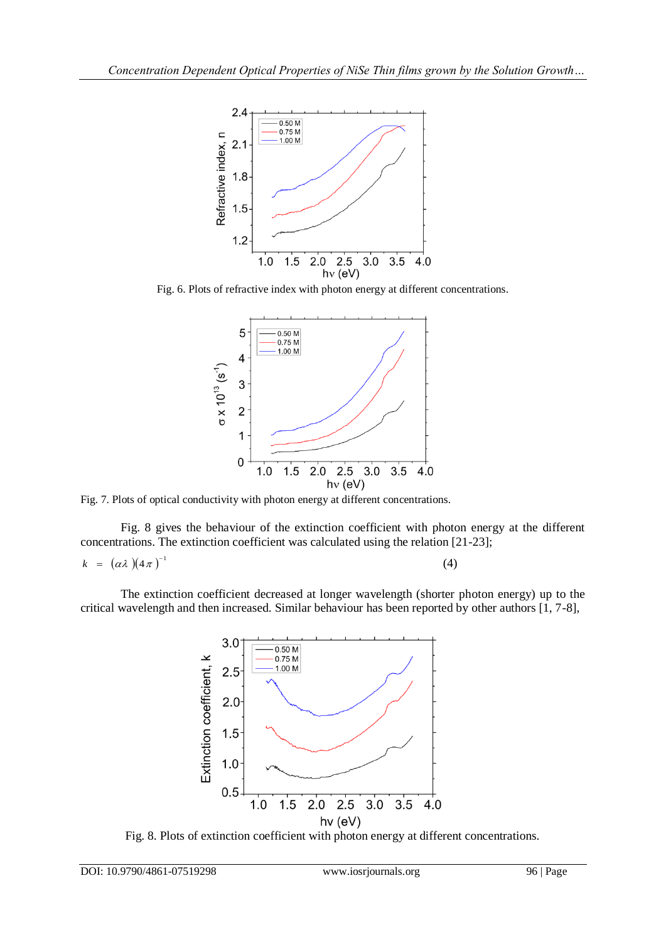

Fig. 6. Plots of refractive index with photon energy at different concentrations.



Fig. 7. Plots of optical conductivity with photon energy at different concentrations.

 Fig. 8 gives the behaviour of the extinction coefficient with photon energy at the different concentrations. The extinction coefficient was calculated using the relation [21-23];

(4)

$$
k = (\alpha \lambda)(4\pi)^{-1}
$$

The extinction coefficient decreased at longer wavelength (shorter photon energy) up to the critical wavelength and then increased. Similar behaviour has been reported by other authors [1, 7-8],



Fig. 8. Plots of extinction coefficient with photon energy at different concentrations.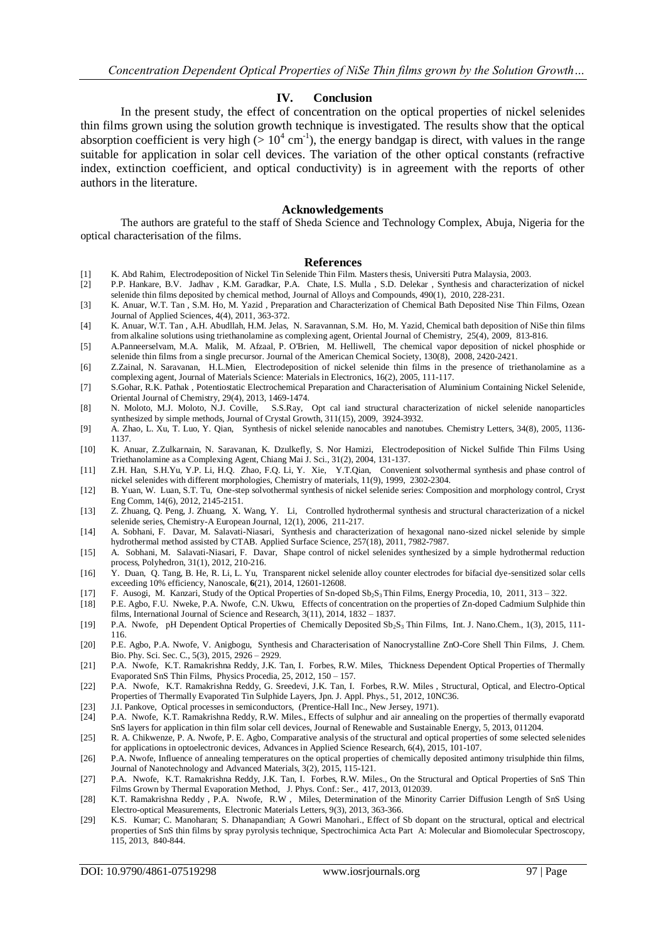#### **IV. Conclusion**

In the present study, the effect of concentration on the optical properties of nickel selenides thin films grown using the solution growth technique is investigated. The results show that the optical absorption coefficient is very high ( $> 10^4$  cm<sup>-1</sup>), the energy bandgap is direct, with values in the range suitable for application in solar cell devices. The variation of the other optical constants (refractive index, extinction coefficient, and optical conductivity) is in agreement with the reports of other authors in the literature.

#### **Acknowledgements**

The authors are grateful to the staff of Sheda Science and Technology Complex, Abuja, Nigeria for the optical characterisation of the films.

#### **References**

- [1] K. Abd Rahim, Electrodeposition of Nickel Tin Selenide Thin Film. Masters thesis, Universiti Putra Malaysia, 2003.
- [2] P.P. Hankare, B.V. Jadhav , K.M. Garadkar, P.A. Chate, I.S. Mulla , S.D. Delekar , Synthesis and characterization of nickel selenide thin films deposited by chemical method, Journal of Alloys and Compounds, 490(1), 2010, 228-231.
- [3] K. Anuar, W.T. Tan , S.M. Ho, M. Yazid , Preparation and Characterization of Chemical Bath Deposited Nise Thin Films, Ozean Journal of Applied Sciences, 4(4), 2011, 363-372.
- [4] K. Anuar, W.T. Tan , A.H. Abudllah, H.M. Jelas, N. Saravannan, S.M. Ho, M. Yazid, Chemical bath deposition of NiSe thin films from alkaline solutions using triethanolamine as complexing agent, Oriental Journal of Chemistry, 25(4), 2009, 813-816.
- [5] A.Panneerselvam, M.A. Malik, M. Afzaal, P. O'Brien, M. Helliwell, The chemical vapor deposition of nickel phosphide or selenide thin films from a single precursor. Journal of the American Chemical Society, 130(8), 2008, 2420-2421.
- [6] Z.Zainal, N. Saravanan, H.L.Mien, Electrodeposition of nickel selenide thin films in the presence of triethanolamine as a complexing agent, Journal of Materials Science: Materials in Electronics, 16(2), 2005, 111-117.
- [7] S.Gohar, R.K. Pathak , Potentiostatic Electrochemical Preparation and Characterisation of Aluminium Containing Nickel Selenide, Oriental Journal of Chemistry, 29(4), 2013, 1469-1474.
- [8] N. Moloto, M.J. Moloto, N.J. Coville, S.S.Ray, Opt cal iand structural characterization of nickel selenide nanoparticles synthesized by simple methods, Journal of Crystal Growth, 311(15), 2009, 3924-3932.
- [9] A. Zhao, L. Xu, T. Luo, Y. Qian, Synthesis of nickel selenide nanocables and nanotubes. Chemistry Letters, 34(8), 2005, 1136- 1137.
- [10] K. Anuar, Z.Zulkarnain, N. Saravanan, K. Dzulkefly, S. Nor Hamizi, Electrodeposition of Nickel Sulfide Thin Films Using Triethanolamine as a Complexing Agent, Chiang Mai J. Sci., 31(2), 2004, 131-137.
- [11] Z.H. Han, S.H.Yu, Y.P. Li, H.Q. Zhao, F.Q. Li, Y. Xie, Y.T.Qian, Convenient solvothermal synthesis and phase control of nickel selenides with different morphologies, Chemistry of materials, 11(9), 1999, 2302-2304.
- [12] B. Yuan, W. Luan, S.T. Tu, One-step solvothermal synthesis of nickel selenide series: Composition and morphology control, Cryst Eng Comm, 14(6), 2012, 2145-2151.
- [13] Z. Zhuang, Q. Peng, J. Zhuang, X. Wang, Y. Li, Controlled hydrothermal synthesis and structural characterization of a nickel selenide series, Chemistry-A European Journal, 12(1), 2006, 211-217.
- [14] A. Sobhani, F. Davar, M. Salavati-Niasari, Synthesis and characterization of hexagonal nano-sized nickel selenide by simple hydrothermal method assisted by CTAB. Applied Surface Science, 257(18), 2011, 7982-7987.
- [15] A. Sobhani, M. Salavati-Niasari, F. Davar, Shape control of nickel selenides synthesized by a simple hydrothermal reduction process, Polyhedron, 31(1), 2012, 210-216.
- [16] Y. Duan, Q. Tang, B. He, R. Li, L. Yu, Transparent nickel selenide alloy counter electrodes for bifacial dye-sensitized solar cells exceeding 10% efficiency, Nanoscale, **6**(21), 2014, 12601-12608.
- [17] F. Ausogi, M. Kanzari, Study of the Optical Properties of Sn-doped Sb<sub>2</sub>S<sub>3</sub> Thin Films, Energy Procedia, 10, 2011, 313 322.<br>[18] P.E. Agbo, F.U. Nweke, P.A. Nwofe, C.N. Ukwu, Effects of concentration on the propert
- [18] P.E. Agbo, F.U. Nweke, P.A. Nwofe, C.N. Ukwu, Effects of concentration on the properties of Zn-doped Cadmium Sulphide thin films, International Journal of Science and Research, 3(11), 2014, 1832 – 1837.
- [19] P.A. Nwofe, pH Dependent Optical Properties of Chemically Deposited Sb<sub>2</sub>S<sub>3</sub> Thin Films, Int. J. Nano.Chem., 1(3), 2015, 111-116.
- [20] P.E. Agbo, P.A. Nwofe, V. Anigbogu, Synthesis and Characterisation of Nanocrystalline ZnO-Core Shell Thin Films, J. Chem. Bio. Phy. Sci. Sec. C., 5(3), 2015, 2926 – 2929.
- [21] P.A. Nwofe, K.T. Ramakrishna Reddy, J.K. Tan, I. Forbes, R.W. Miles, Thickness Dependent Optical Properties of Thermally Evaporated SnS Thin Films, Physics Procedia, 25, 2012, 150 – 157.
- [22] P.A. Nwofe, K.T. Ramakrishna Reddy, G. Sreedevi, J.K. Tan, I. Forbes, R.W. Miles , Structural, Optical, and Electro-Optical Properties of Thermally Evaporated Tin Sulphide Layers, Jpn. J. Appl. Phys., 51, 2012, 10NC36.
- [23] J.I. Pankove, Optical processes in semiconductors, (Prentice-Hall Inc., New Jersey, 1971).<br>[24] P.A. Nwofe, K.T. Ramakrishna Reddy, R.W. Miles., Effects of sulphur and air annealing
- [24] P.A. Nwofe, K.T. Ramakrishna Reddy, R.W. Miles., Effects of sulphur and air annealing on the properties of thermally evaporatd SnS layers for application in thin film solar cell devices, Journal of Renewable and Sustainable Energy, 5, 2013, 011204.
- [25] R. A. Chikwenze, P. A. Nwofe, P. E. Agbo, Comparative analysis of the structural and optical properties of some selected selenides for applications in optoelectronic devices, Advances in Applied Science Research, 6(4), 2015, 101-107.
- [26] P.A. Nwofe, Influence of annealing temperatures on the optical properties of chemically deposited antimony trisulphide thin films, Journal of Nanotechnology and Advanced Materials, 3(2), 2015, 115-121.
- [27] P.A. Nwofe, K.T. Ramakrishna Reddy, J.K. Tan, I. Forbes, R.W. Miles., On the Structural and Optical Properties of SnS Thin Films Grown by Thermal Evaporation Method, J. Phys. Conf.: Ser., 417, 2013, 012039.
- [28] K.T. Ramakrishna Reddy , P.A. Nwofe, R.W , Miles, Determination of the Minority Carrier Diffusion Length of SnS Using Electro-optical Measurements, Electronic Materials Letters, 9(3), 2013, 363-366.
- [29] K.S. Kumar; C. Manoharan; S. Dhanapandian; A Gowri Manohari., Effect of Sb dopant on the structural, optical and electrical properties of SnS thin films by spray pyrolysis technique, Spectrochimica Acta Part A: Molecular and Biomolecular Spectroscopy, 115, 2013, 840-844.